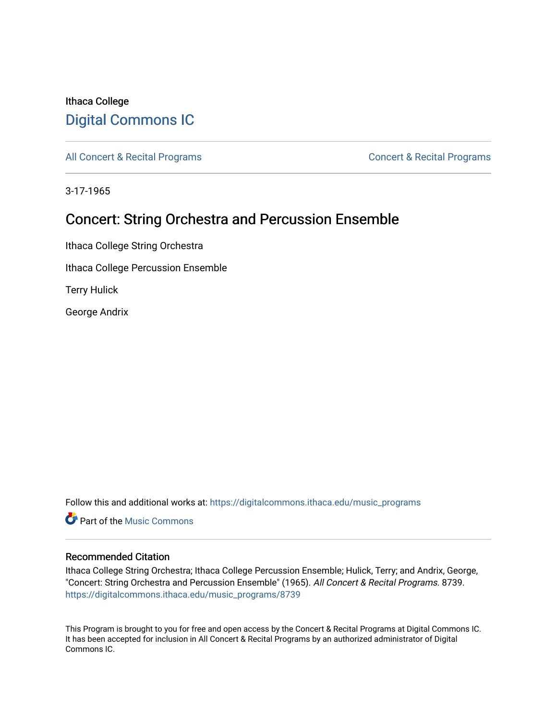## Ithaca College [Digital Commons IC](https://digitalcommons.ithaca.edu/)

[All Concert & Recital Programs](https://digitalcommons.ithaca.edu/music_programs) **Concert & Recital Programs** Concert & Recital Programs

3-17-1965

## Concert: String Orchestra and Percussion Ensemble

Ithaca College String Orchestra Ithaca College Percussion Ensemble

Terry Hulick

George Andrix

Follow this and additional works at: [https://digitalcommons.ithaca.edu/music\\_programs](https://digitalcommons.ithaca.edu/music_programs?utm_source=digitalcommons.ithaca.edu%2Fmusic_programs%2F8739&utm_medium=PDF&utm_campaign=PDFCoverPages) 

**C** Part of the Music Commons

## Recommended Citation

Ithaca College String Orchestra; Ithaca College Percussion Ensemble; Hulick, Terry; and Andrix, George, "Concert: String Orchestra and Percussion Ensemble" (1965). All Concert & Recital Programs. 8739. [https://digitalcommons.ithaca.edu/music\\_programs/8739](https://digitalcommons.ithaca.edu/music_programs/8739?utm_source=digitalcommons.ithaca.edu%2Fmusic_programs%2F8739&utm_medium=PDF&utm_campaign=PDFCoverPages) 

This Program is brought to you for free and open access by the Concert & Recital Programs at Digital Commons IC. It has been accepted for inclusion in All Concert & Recital Programs by an authorized administrator of Digital Commons IC.